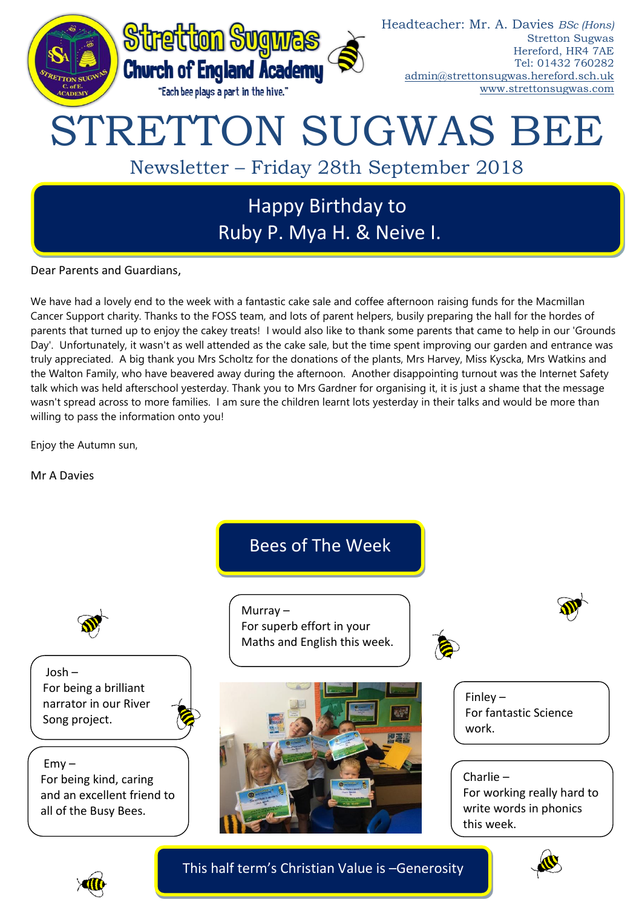

Dear Parents and Guardians,

We have had a lovely end to the week with a fantastic cake sale and coffee afternoon raising funds for the Macmillan Cancer Support charity. Thanks to the FOSS team, and lots of parent helpers, busily preparing the hall for the hordes of parents that turned up to enjoy the cakey treats! I would also like to thank some parents that came to help in our 'Grounds Day'. Unfortunately, it wasn't as well attended as the cake sale, but the time spent improving our garden and entrance was truly appreciated. A big thank you Mrs Scholtz for the donations of the plants, Mrs Harvey, Miss Kyscka, Mrs Watkins and the Walton Family, who have beavered away during the afternoon. Another disappointing turnout was the Internet Safety talk which was held afterschool yesterday. Thank you to Mrs Gardner for organising it, it is just a shame that the message wasn't spread across to more families. I am sure the children learnt lots yesterday in their talks and would be more than willing to pass the information onto you!

Enjoy the Autumn sun,

Mr A Davies



This half term's Christian Value is –Generosity